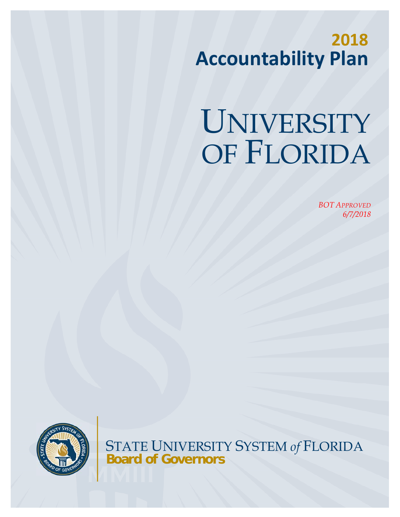**2018 Accountability Plan**

# UNIVERSITY OF FLORIDA

*BOT APPROVED 6/7/2018* 



STATE UNIVERSITY SYSTEM *of* FLORIDA **Board of Governors**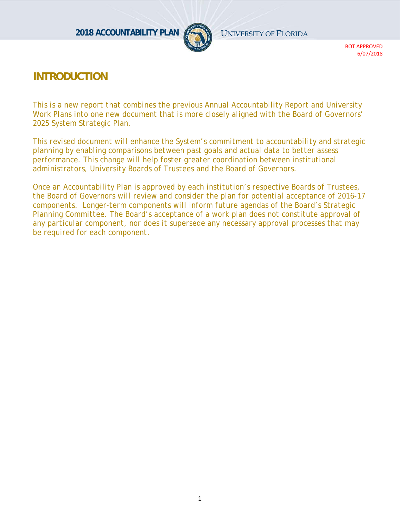

# **INTRODUCTION**

*This is a new report that combines the previous Annual Accountability Report and University Work Plans into one new document that is more closely aligned with the Board of Governors' 2025 System Strategic Plan.* 

*This revised document will enhance the System's commitment to accountability and strategic planning by enabling comparisons between past goals and actual data to better assess performance. This change will help foster greater coordination between institutional administrators, University Boards of Trustees and the Board of Governors.* 

*Once an Accountability Plan is approved by each institution's respective Boards of Trustees, the Board of Governors will review and consider the plan for potential acceptance of 2016-17 components. Longer-term components will inform future agendas of the Board's Strategic*  Planning Committee. The Board's acceptance of a work plan does not constitute approval of *any particular component, nor does it supersede any necessary approval processes that may be required for each component.*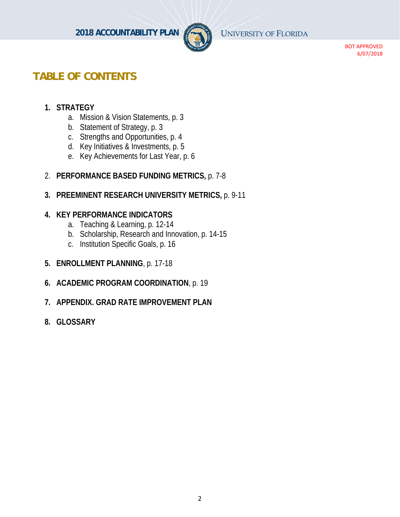

# **TABLE OF CONTENTS**

# **1. STRATEGY**

- a. Mission & Vision Statements, p. 3
- b. Statement of Strategy, p. 3
- c. Strengths and Opportunities, p. 4
- d. Key Initiatives & Investments, p. 5
- e. Key Achievements for Last Year, p. 6
- 2. **PERFORMANCE BASED FUNDING METRICS,** p. 7-8
- **3. PREEMINENT RESEARCH UNIVERSITY METRICS,** p. 9-11

#### **4. KEY PERFORMANCE INDICATORS**

- a. Teaching & Learning, p. 12-14
- b. Scholarship, Research and Innovation, p. 14-15
- c. Institution Specific Goals, p. 16
- **5. ENROLLMENT PLANNING**, p. 17-18
- **6. ACADEMIC PROGRAM COORDINATION**, p. 19
- **7. APPENDIX. GRAD RATE IMPROVEMENT PLAN**
- **8. GLOSSARY**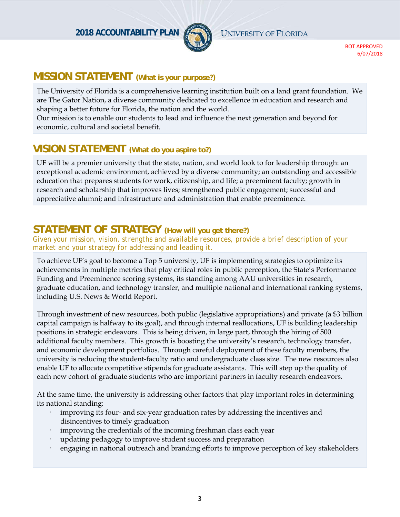

# **MISSION STATEMENT (What is your purpose?)**

The University of Florida is a comprehensive learning institution built on a land grant foundation. We are The Gator Nation, a diverse community dedicated to excellence in education and research and shaping a better future for Florida, the nation and the world.

Our mission is to enable our students to lead and influence the next generation and beyond for economic, cultural and societal benefit.

# **VISION STATEMENT (What do you aspire to?)**

UF will be a premier university that the state, nation, and world look to for leadership through: an exceptional academic environment, achieved by a diverse community; an outstanding and accessible education that prepares students for work, citizenship, and life; a preeminent faculty; growth in research and scholarship that improves lives; strengthened public engagement; successful and appreciative alumni; and infrastructure and administration that enable preeminence.

# **STATEMENT OF STRATEGY (How will you get there?)**

*Given your mission, vision, strengths and available resources, provide a brief description of your market and your strategy for addressing and leading it.* 

To achieve UF's goal to become a Top 5 university, UF is implementing strategies to optimize its achievements in multiple metrics that play critical roles in public perception, the State's Performance Funding and Preeminence scoring systems, its standing among AAU universities in research, graduate education, and technology transfer, and multiple national and international ranking systems, including U.S. News & World Report.

Through investment of new resources, both public (legislative appropriations) and private (a \$3 billion capital campaign is halfway to its goal), and through internal reallocations, UF is building leadership positions in strategic endeavors. This is being driven, in large part, through the hiring of 500 additional faculty members. This growth is boosting the university's research, technology transfer, and economic development portfolios. Through careful deployment of these faculty members, the university is reducing the student-faculty ratio and undergraduate class size. The new resources also enable UF to allocate competitive stipends for graduate assistants. This will step up the quality of each new cohort of graduate students who are important partners in faculty research endeavors.

At the same time, the university is addressing other factors that play important roles in determining its national standing:

- improving its four- and six-year graduation rates by addressing the incentives and disincentives to timely graduation
- improving the credentials of the incoming freshman class each year
- updating pedagogy to improve student success and preparation
- engaging in national outreach and branding efforts to improve perception of key stakeholders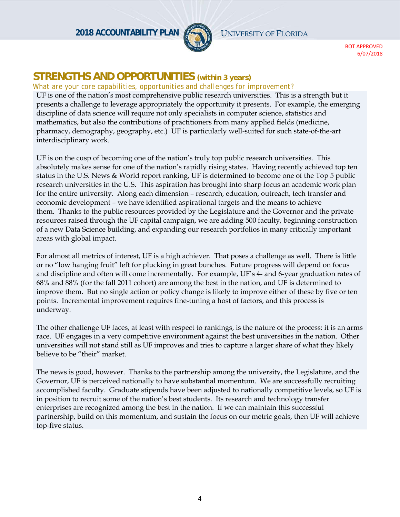**2018 ACCOUNTABILITY PLAN** UNIVERSITY OF FLORIDA



BOT APPROVED 6/07/2018

# **STRENGTHS AND OPPORTUNITIES** *(within 3 years)*

#### *What are your core capabilities, opportunities and challenges for improvement?*

UF is one of the nation's most comprehensive public research universities. This is a strength but it presents a challenge to leverage appropriately the opportunity it presents. For example, the emerging discipline of data science will require not only specialists in computer science, statistics and mathematics, but also the contributions of practitioners from many applied fields (medicine, pharmacy, demography, geography, etc.) UF is particularly well-suited for such state-of-the-art interdisciplinary work.

UF is on the cusp of becoming one of the nation's truly top public research universities. This absolutely makes sense for one of the nation's rapidly rising states. Having recently achieved top ten status in the U.S. News & World report ranking, UF is determined to become one of the Top 5 public research universities in the U.S. This aspiration has brought into sharp focus an academic work plan for the entire university. Along each dimension – research, education, outreach, tech transfer and economic development – we have identified aspirational targets and the means to achieve them. Thanks to the public resources provided by the Legislature and the Governor and the private resources raised through the UF capital campaign, we are adding 500 faculty, beginning construction of a new Data Science building, and expanding our research portfolios in many critically important areas with global impact.

For almost all metrics of interest, UF is a high achiever. That poses a challenge as well. There is little or no "low hanging fruit" left for plucking in great bunches. Future progress will depend on focus and discipline and often will come incrementally. For example, UF's 4- and 6-year graduation rates of 68% and 88% (for the fall 2011 cohort) are among the best in the nation, and UF is determined to improve them. But no single action or policy change is likely to improve either of these by five or ten points. Incremental improvement requires fine-tuning a host of factors, and this process is underway.

The other challenge UF faces, at least with respect to rankings, is the nature of the process: it is an arms race. UF engages in a very competitive environment against the best universities in the nation. Other universities will not stand still as UF improves and tries to capture a larger share of what they likely believe to be "their" market.

The news is good, however. Thanks to the partnership among the university, the Legislature, and the Governor, UF is perceived nationally to have substantial momentum. We are successfully recruiting accomplished faculty. Graduate stipends have been adjusted to nationally competitive levels, so UF is in position to recruit some of the nation's best students. Its research and technology transfer enterprises are recognized among the best in the nation. If we can maintain this successful partnership, build on this momentum, and sustain the focus on our metric goals, then UF will achieve top-five status.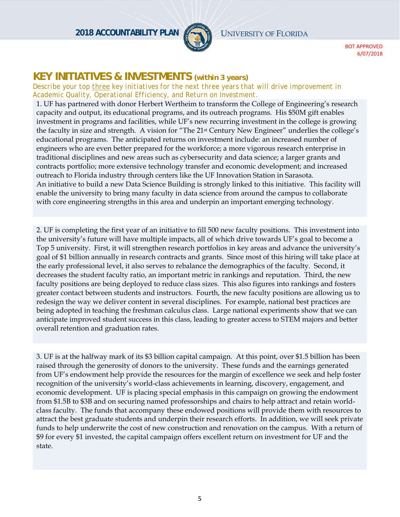**2018 ACCOUNTABILITY PLAN** UNIVERSITY OF FLORIDA



BOT APPROVED 6/07/2018

# **KEY INITIATIVES & INVESTMENTS** *(within 3 years)*

*Describe your top three key initiatives for the next three years that will drive improvement in Academic Quality, Operational Efficiency, and Return on Investment.*

1. UF has partnered with donor Herbert Wertheim to transform the College of Engineering's research capacity and output, its educational programs, and its outreach programs. His \$50M gift enables investment in programs and facilities, while UF's new recurring investment in the college is growing the faculty in size and strength. A vision for "The 21<sup>st</sup> Century New Engineer" underlies the college's educational programs. The anticipated returns on investment include: an increased number of engineers who are even better prepared for the workforce; a more vigorous research enterprise in traditional disciplines and new areas such as cybersecurity and data science; a larger grants and contracts portfolio; more extensive technology transfer and economic development; and increased outreach to Florida industry through centers like the UF Innovation Station in Sarasota. An initiative to build a new Data Science Building is strongly linked to this initiative. This facility will enable the university to bring many faculty in data science from around the campus to collaborate with core engineering strengths in this area and underpin an important emerging technology.

2. UF is completing the first year of an initiative to fill 500 new faculty positions. This investment into the university's future will have multiple impacts, all of which drive towards UF's goal to become a Top 5 university. First, it will strengthen research portfolios in key areas and advance the university's goal of \$1 billion annually in research contracts and grants. Since most of this hiring will take place at the early professional level, it also serves to rebalance the demographics of the faculty. Second, it decreases the student faculty ratio, an important metric in rankings and reputation. Third, the new faculty positions are being deployed to reduce class sizes. This also figures into rankings and fosters greater contact between students and instructors. Fourth, the new faculty positions are allowing us to redesign the way we deliver content in several disciplines. For example, national best practices are being adopted in teaching the freshman calculus class. Large national experiments show that we can anticipate improved student success in this class, leading to greater access to STEM majors and better overall retention and graduation rates.

3. UF is at the halfway mark of its \$3 billion capital campaign. At this point, over \$1.5 billion has been raised through the generosity of donors to the university. These funds and the earnings generated from UF's endowment help provide the resources for the margin of excellence we seek and help foster recognition of the university's world-class achievements in learning, discovery, engagement, and economic development. UF is placing special emphasis in this campaign on growing the endowment from \$1.5B to \$3B and on securing named professorships and chairs to help attract and retain worldclass faculty. The funds that accompany these endowed positions will provide them with resources to attract the best graduate students and underpin their research efforts. In addition, we will seek private funds to help underwrite the cost of new construction and renovation on the campus. With a return of \$9 for every \$1 invested, the capital campaign offers excellent return on investment for UF and the state.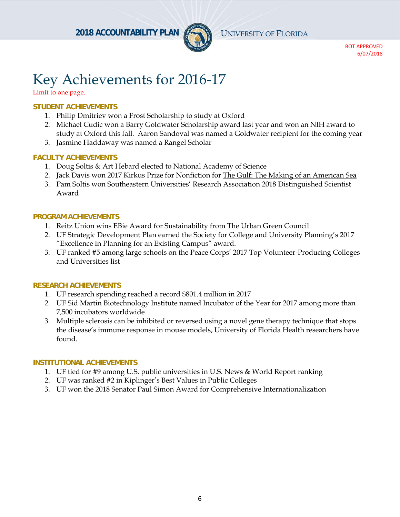

# Key Achievements for 2016-17

#### **STUDENT ACHIEVEMENTS**

- 1. Philip Dmitriev won a Frost Scholarship to study at Oxford
- 2. Michael Cudic won a Barry Goldwater Scholarship award last year and won an NIH award to study at Oxford this fall. Aaron Sandoval was named a Goldwater recipient for the coming year
- 3. Jasmine Haddaway was named a Rangel Scholar

#### **FACULTY ACHIEVEMENTS**

- 1. Doug Soltis & Art Hebard elected to National Academy of Science
- 2. Jack Davis won 2017 Kirkus Prize for Nonfiction for The Gulf: The Making of an American Sea
- 3. Pam Soltis won Southeastern Universities' Research Association 2018 Distinguished Scientist Award

#### **PROGRAM ACHIEVEMENTS**

- 1. Reitz Union wins EBie Award for Sustainability from The Urban Green Council
- 2. UF Strategic Development Plan earned the Society for College and University Planning's 2017 "Excellence in Planning for an Existing Campus" award.
- 3. UF ranked #5 among large schools on the Peace Corps' 2017 Top Volunteer-Producing Colleges and Universities list

#### **RESEARCH ACHIEVEMENTS**

- 1. UF research spending reached a record \$801.4 million in 2017
- 2. UF Sid Martin Biotechnology Institute named Incubator of the Year for 2017 among more than 7,500 incubators worldwide
- 3. Multiple sclerosis can be inhibited or reversed using a novel gene therapy technique that stops the disease's immune response in mouse models, University of Florida Health researchers have found.

#### **INSTITUTIONAL ACHIEVEMENTS**

- 1. UF tied for #9 among U.S. public universities in U.S. News & World Report ranking
- 2. UF was ranked #2 in Kiplinger's Best Values in Public Colleges
- 3. UF won the 2018 Senator Paul Simon Award for Comprehensive Internationalization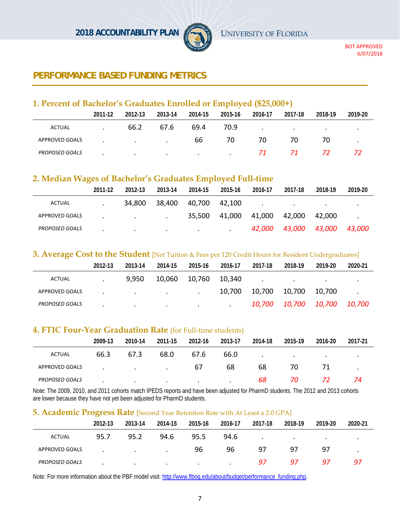

# **PERFORMANCE BASED FUNDING METRICS**

# **1. Percent of Bachelor's Graduates Enrolled or Employed (\$25,000+)**

|                       | 2011-12 | 2012-13                           | 2013-14 | 2014-15       | 2015-16   | 2016-17 | 2017-18 | 2018-19   | 2019-20 |
|-----------------------|---------|-----------------------------------|---------|---------------|-----------|---------|---------|-----------|---------|
| ACTUAL                |         | 66.2                              | 67.6    | 69.4          | 70.9      | $\cdot$ | $\cdot$ | $\bullet$ |         |
| APPROVED GOALS        |         | the company's company's company's |         | 66            | 70        | 70      | 70      | 70        |         |
| <b>PROPOSED GOALS</b> |         | $\cdot$                           | $\cdot$ | $\sim$ $\sim$ | $\bullet$ | 71      | 71      | 72        |         |

# **2. Median Wages of Bachelor's Graduates Employed Full-time**

|                       | 2011-12 | 2012-13   | 2013-14 | 2014-15   | 2015-16 | 2016-17 | 2017-18       | 2018-19       | 2019-20       |
|-----------------------|---------|-----------|---------|-----------|---------|---------|---------------|---------------|---------------|
| <b>ACTUAL</b>         |         | 34,800    | 38,400  | 40,700    | 42.100  |         | $\bullet$     | $\bullet$     | ٠             |
| APPROVED GOALS        |         | $\cdot$   | $\cdot$ | 35,500    | 41,000  | 41,000  | 42.000        | 42.000        | $\bullet$     |
| <b>PROPOSED GOALS</b> |         | $\bullet$ | $\cdot$ | $\bullet$ | $\cdot$ | 42.000  | <i>43,000</i> | <i>43,000</i> | <i>43.000</i> |

#### **3. Average Cost to the Student** [Net Tuition & Fees per 120 Credit Hours for Resident Undergraduates]

|                       | 2012-13 | 2013-14                  | 2014-15       | 2015-16 | 2016-17   | 2017-18 | 2018-19                        | 2019-20 | 2020-21 |
|-----------------------|---------|--------------------------|---------------|---------|-----------|---------|--------------------------------|---------|---------|
| ACTUAL                |         | 9,950                    | 10,060        | 10,760  | 10,340    |         | $\cdot$                        | $\cdot$ |         |
| APPROVED GOALS        |         | <b>Contract Contract</b> | $\sim$ $\sim$ | $\cdot$ | 10,700    | 10,700  | 10,700                         | 10,700  |         |
| <b>PROPOSED GOALS</b> |         | $\bullet$                | $\cdot$       | $\cdot$ | $\bullet$ |         | 10,700  10,700  10,700  10,700 |         |         |

#### **4. FTIC Four-Year Graduation Rate** (for Full-time students)

|                       | 2009-13 | 2010-14                  | 2011-15       | 2012-16 | 2013-17 | 2014-18 | 2015-19 | 2016-20 | 2017-21   |
|-----------------------|---------|--------------------------|---------------|---------|---------|---------|---------|---------|-----------|
| ACTUAL                | 66.3    | 67.3                     | 68.0          | 67.6    | 66.0    | $\cdot$ | $\sim$  | $\sim$  | $\bullet$ |
| APPROVED GOALS        |         | <b>Contract Contract</b> | $\sim$ $\sim$ | 67      | 68      | 68      | 70      | 71      |           |
| <b>PROPOSED GOALS</b> |         | $\cdot$                  | $\cdot$       | $\cdot$ | $\cdot$ | 68      | 70      | 72      | 74        |

Note: The 2009, 2010, and 2011 cohorts match IPEDS reports and have been adjusted for PharmD students. The 2012 and 2013 cohorts are lower because they have not yet been adjusted for PharmD students.

#### **5. Academic Progress Rate** [Second Year Retention Rate with At Least a 2.0 GPA]

|                       | 2012-13   | 2013-14 | 2014-15   | 2015-16 | 2016-17 | 2017-18 | 2018-19 | 2019-20 | 2020-21   |
|-----------------------|-----------|---------|-----------|---------|---------|---------|---------|---------|-----------|
| <b>ACTUAL</b>         | 95.7      | 95.2    | 94.6      | 95.5    | 94.6    | $\cdot$ | $\cdot$ | $\cdot$ | $\bullet$ |
| APPROVED GOALS        | $\bullet$ | $\cdot$ | $\bullet$ | 96      | 96      | 97      | 97      | 97      | $\bullet$ |
| <b>PROPOSED GOALS</b> |           | $\cdot$ | $\bullet$ | $\cdot$ | $\cdot$ | 97      | 97      | -97     | 97        |

Note: For more information about the PBF model visit: http://www.flbog.edu/about/budget/performance\_funding.php.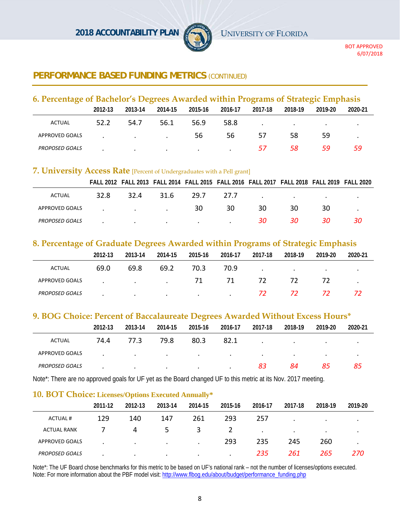

# **PERFORMANCE BASED FUNDING METRICS (CONTINUED)**

| 6. Percentage of Bachelor's Degrees Awarded within Programs of Strategic Emphasis |         |                   |         |         |         |         |                          |         |         |  |  |  |
|-----------------------------------------------------------------------------------|---------|-------------------|---------|---------|---------|---------|--------------------------|---------|---------|--|--|--|
|                                                                                   | 2012-13 | 2013-14           | 2014-15 | 2015-16 | 2016-17 | 2017-18 | 2018-19                  | 2019-20 | 2020-21 |  |  |  |
| ACTUAL                                                                            | 52.2    | 54.7              | 56.1    | 56.9    | 58.8    |         | <b>Contract Contract</b> |         |         |  |  |  |
| APPROVED GOALS                                                                    |         | <b>Contractor</b> |         | 56      | 56      | 57      | 58                       | 59      |         |  |  |  |
| <b>PROPOSED GOALS</b>                                                             |         | $\cdot$           | $\cdot$ | $\cdot$ |         | 57      | 58                       | 59      | 59      |  |  |  |

#### **7. University Access Rate** [Percent of Undergraduates with a Pell grant]

|                       |                                     |         |                                                 |      | FALL 2012 FALL 2013 FALL 2014 FALL 2015 FALL 2016 FALL 2017 FALL 2018 FALL 2019 FALL 2020 |    |                                                     |     |    |
|-----------------------|-------------------------------------|---------|-------------------------------------------------|------|-------------------------------------------------------------------------------------------|----|-----------------------------------------------------|-----|----|
| ACTUAL                | 32.8                                | 32.4    | 31.6                                            | 29.7 | 27.7                                                                                      |    | the contract of the contract of the contract of the |     |    |
| APPROVED GOALS        | the contract of the contract of the |         |                                                 | 30   | 30                                                                                        | 30 | 30                                                  | 30  |    |
| <b>PROPOSED GOALS</b> |                                     | $\cdot$ | the contract of the contract of the contract of |      | $\cdot$                                                                                   | 30 | 30                                                  | 30. | 30 |

#### **8. Percentage of Graduate Degrees Awarded within Programs of Strategic Emphasis**

| ຼ                     |         |                                   |           |           |         |         |         |         |         |
|-----------------------|---------|-----------------------------------|-----------|-----------|---------|---------|---------|---------|---------|
|                       | 2012-13 | 2013-14                           | 2014-15   | 2015-16   | 2016-17 | 2017-18 | 2018-19 | 2019-20 | 2020-21 |
| <b>ACTUAL</b>         | 69.0    | 69.8                              | 69.2      | 70.3      | 70.9    | $\cdot$ | $\sim$  | $\cdot$ | $\cdot$ |
| APPROVED GOALS        |         | <b>Contract Contract Contract</b> | $\cdot$   | 71        | 71      | 72      | 72      |         |         |
| <b>PROPOSED GOALS</b> |         | $\bullet$                         | $\bullet$ | $\bullet$ |         | 72      | 72      |         |         |

#### **9. BOG Choice: Percent of Baccalaureate Degrees Awarded Without Excess Hours\***

|                       | 2012-13 | 2013-14          | 2014-15                  | 2015-16 | 2016-17       | 2017-18         | 2018-19 | 2019-20   | 2020-21   |
|-----------------------|---------|------------------|--------------------------|---------|---------------|-----------------|---------|-----------|-----------|
| ACTUAL                | 74.4    | 77.3             | 79.8                     | 80.3    | 82.1          | $\bullet$       | $\cdot$ | $\bullet$ | $\bullet$ |
| APPROVED GOALS        |         | $\sim$ 100 $\pm$ | <b>Contract Contract</b> | $\sim$  | $\sim$ $\sim$ | $\cdot$ $\cdot$ | $\cdot$ | $\bullet$ |           |
| <b>PROPOSED GOALS</b> |         | $\bullet$        | $\cdot$                  | $\cdot$ | $\cdot$       | 83              | 84      | 85        | 85        |

Note\*: There are no approved goals for UF yet as the Board changed UF to this metric at its Nov. 2017 meeting.

#### **10. BOT Choice: Licenses/Options Executed Annually\***

|                       | 2011-12 | 2012-13 | 2013-14   | 2014-15   | 2015-16 | 2016-17   | 2017-18   | 2018-19   | 2019-20   |
|-----------------------|---------|---------|-----------|-----------|---------|-----------|-----------|-----------|-----------|
| <b>ACTUAL#</b>        | 129     | 140     | 147       | 261       | 293     | 257       |           | $\bullet$ | ٠         |
| <b>ACTUAL RANK</b>    |         | 4       | כ         | 3         | 2       | $\bullet$ | $\bullet$ | $\bullet$ | $\bullet$ |
| <b>APPROVED GOALS</b> |         | $\cdot$ | $\bullet$ | $\bullet$ | 293     | 235       | 245       | 260       | ٠         |
| <b>PROPOSED GOALS</b> |         | $\cdot$ | $\cdot$   | $\cdot$   | $\cdot$ | 235       | 261       | 265       | 270       |

Note\*: The UF Board chose benchmarks for this metric to be based on UF's national rank – not the number of licenses/options executed. Note: For more information about the PBF model visit: http://www.flbog.edu/about/budget/performance\_funding.php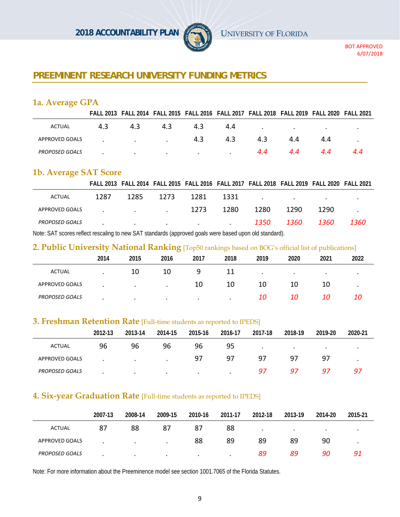

# **PREEMINENT RESEARCH UNIVERSITY FUNDING METRICS**

#### **1a. Average GPA**

|                |    |                                                                                                                     |     |     |     |     |     | FALL 2013 FALL 2014 FALL 2015 FALL 2016 FALL 2017 FALL 2018 FALL 2019 FALL 2020 FALL 2021 |     |
|----------------|----|---------------------------------------------------------------------------------------------------------------------|-----|-----|-----|-----|-----|-------------------------------------------------------------------------------------------|-----|
| ACTUAL         | 43 | 4.3                                                                                                                 | 4.3 | 4.3 | 4.4 |     |     | the contract of the contract of the contract of the contract of the contract of           |     |
| APPROVED GOALS |    | the company of the company of the                                                                                   |     | 4.3 | 4.3 | 4.3 | 4.4 | 44                                                                                        |     |
| PROPOSED GOALS |    | and the contract of the contract of the contract of the contract of the contract of the contract of the contract of |     |     |     | 4.4 | 4.4 | 4.4                                                                                       | 4.4 |

#### **1b. Average SAT Score**

|                       |      |                                                                                                                 |      |      |      |      |                                                                                                                 | FALL 2013 FALL 2014 FALL 2015 FALL 2016 FALL 2017 FALL 2018 FALL 2019 FALL 2020 FALL 2021 |       |
|-----------------------|------|-----------------------------------------------------------------------------------------------------------------|------|------|------|------|-----------------------------------------------------------------------------------------------------------------|-------------------------------------------------------------------------------------------|-------|
| ACTUAL                | 1287 | 1285                                                                                                            | 1273 | 1281 | 1331 |      | the contract of the contract of the contract of the contract of the contract of the contract of the contract of |                                                                                           |       |
| APPROVED GOALS        |      | the control of the control of the control of                                                                    |      | 1273 | 1280 | 1280 | 1290                                                                                                            | 1290                                                                                      |       |
| <b>PROPOSED GOALS</b> |      | the contract of the contract of the contract of the contract of the contract of the contract of the contract of |      |      |      | 1350 | 1360                                                                                                            | 1360                                                                                      | 1360- |
|                       |      |                                                                                                                 |      |      |      |      |                                                                                                                 |                                                                                           |       |

Note: SAT scores reflect rescaling to new SAT standards (approved goals were based upon old standard).

#### **2. Public University National Ranking** [Top50 rankings based on BOG's official list of publications]

|                       | ۔    |           | $\mathbf{U}$ . |           | $\bf\breve{}$ |      |           |           |           |
|-----------------------|------|-----------|----------------|-----------|---------------|------|-----------|-----------|-----------|
|                       | 2014 | 2015      | 2016           | 2017      | 2018          | 2019 | 2020      | 2021      | 2022      |
| <b>ACTUAL</b>         |      | 10        | 10             | q         | 11            |      | $\bullet$ | $\bullet$ | $\bullet$ |
| <b>APPROVED GOALS</b> |      | $\bullet$ | $\bullet$      | 10        | 10            | 10   | 10        | 10        | $\bullet$ |
| <b>PROPOSED GOALS</b> |      | $\bullet$ | $\bullet$      | $\bullet$ | $\cdot$       | 10   | 10        | 10        | 10        |

#### **3. Freshman Retention Rate** [Full-time students as reported to IPEDS]

|                       | 2012-13 | 2013-14   | 2014-15   | 2015-16 | 2016-17 | 2017-18   | 2018-19   | 2019-20   | 2020-21 |  |
|-----------------------|---------|-----------|-----------|---------|---------|-----------|-----------|-----------|---------|--|
| <b>ACTUAL</b>         | 96      | 96        | 96        | 96      | 95      | $\bullet$ | $\bullet$ | $\bullet$ |         |  |
| APPROVED GOALS        |         | $\cdot$   | $\bullet$ | 97      | -97     | 97        | 97        | -97       |         |  |
| <b>PROPOSED GOALS</b> |         | $\bullet$ | $\bullet$ | $\cdot$ | $\cdot$ | 97        | -97       | -97       | -97     |  |

#### **4. Six-year Graduation Rate** [Full-time students as reported to IPEDS]

|                       | 2007-13 | 2008-14   | 2009-15   | 2010-16   | 2011-17 | 2012-18   | 2013-19   | 2014-20   | 2015-21   |
|-----------------------|---------|-----------|-----------|-----------|---------|-----------|-----------|-----------|-----------|
| <b>ACTUAL</b>         | 87      | 88        | 87        | 87        | 88      | $\bullet$ | $\bullet$ | $\bullet$ | $\bullet$ |
| APPROVED GOALS        |         | $\cdot$   | $\bullet$ | 88        | 89      | 89        | 89        | 90        |           |
| <b>PROPOSED GOALS</b> |         | $\bullet$ | $\bullet$ | $\bullet$ | ٠       | 89        | 89        | 90        | -91       |

Note: For more information about the Preeminence model see section 1001.7065 of the Florida Statutes.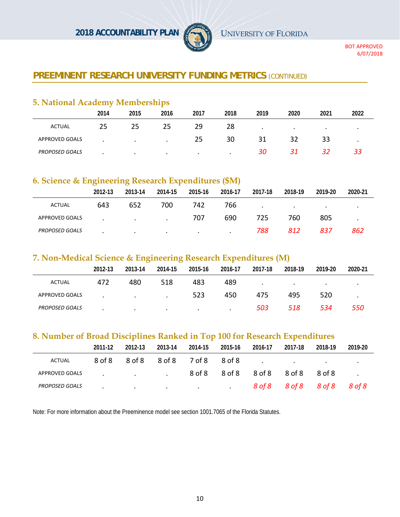**2018 ACCOUNTABILITY PLAN** UNIVERSITY OF FLORIDA



BOT APPROVED 6/07/2018

# **PREEMINENT RESEARCH UNIVERSITY FUNDING METRICS (CONTINUED)**

# **5. National Academy Memberships**

|                       | 2014 | 2015      | 2016      | 2017      | 2018 | 2019      | 2020      | 2021      | 2022 |
|-----------------------|------|-----------|-----------|-----------|------|-----------|-----------|-----------|------|
| <b>ACTUAL</b>         | 25   | 25        | 25        | 29        | 28   | $\bullet$ | $\bullet$ | $\bullet$ |      |
| <b>APPROVED GOALS</b> |      | $\bullet$ |           | 25        | 30   | 31        | 32        | 33        |      |
| <b>PROPOSED GOALS</b> |      | $\bullet$ | $\bullet$ | $\bullet$ |      | 30        | 31        |           |      |

# **6. Science & Engineering Research Expenditures (\$M)**

|                       | 2012-13 | 2013-14                  | 2014-15 | 2015-16   | 2016-17   | 2017-18 | 2018-19   | 2019-20   | 2020-21   |
|-----------------------|---------|--------------------------|---------|-----------|-----------|---------|-----------|-----------|-----------|
| ACTUAL                | 643     | 652                      | 700     | 742       | 766       | $\cdot$ | $\bullet$ | $\bullet$ | $\bullet$ |
| APPROVED GOALS        |         | <b>Contract Contract</b> | $\cdot$ | 707       | 690       | 725     | 760       | 805       | $\bullet$ |
| <b>PROPOSED GOALS</b> | ٠       | $\cdot$                  | $\cdot$ | $\bullet$ | $\bullet$ | 788     | 812       | 837       | 862       |

#### **7. Non-Medical Science & Engineering Research Expenditures (M)**

|                       | 2012-13 | 2013-14                  | 2014-15 | 2015-16   | 2016-17   | 2017-18 | 2018-19 | 2019-20 | 2020-21           |
|-----------------------|---------|--------------------------|---------|-----------|-----------|---------|---------|---------|-------------------|
| <b>ACTUAL</b>         | 472     | 480                      | 518     | 483       | 489       | $\cdot$ | $\cdot$ | $\cdot$ | $\cdot$           |
| APPROVED GOALS        |         | <b>Contract Contract</b> | $\cdot$ | 523       | 450       | 475     | 495     | 520     |                   |
| <b>PROPOSED GOALS</b> |         | $\cdot$                  | $\cdot$ | $\bullet$ | $\bullet$ | 503     | 518     | 534     | <i><b>550</b></i> |

#### **8. Number of Broad Disciplines Ranked in Top 100 for Research Expenditures**

|                       | 2011-12 | 2012-13                                                                                                   | 2013-14 | 2014-15                                         | 2015-16                    | 2016-17 | 2017-18                     | 2018-19 | 2019-20 |
|-----------------------|---------|-----------------------------------------------------------------------------------------------------------|---------|-------------------------------------------------|----------------------------|---------|-----------------------------|---------|---------|
| ACTUAL                | 8 of 8  | 8 of 8                                                                                                    |         |                                                 |                            |         |                             |         |         |
| APPROVED GOALS        |         | $\mathbf{r}$ and $\mathbf{r}$ are all $\mathbf{r}$ and $\mathbf{r}$ are all $\mathbf{r}$ and $\mathbf{r}$ |         |                                                 | 8 of 8 9 of 8 9 8 8 8 0f 8 |         |                             | 8 of 8  |         |
| <b>PROPOSED GOALS</b> |         | <b>Contract Contract</b>                                                                                  |         | the contract of the contract of the contract of |                            |         | 8 of 8 9 of 8 8 of 8 8 of 8 |         |         |

Note: For more information about the Preeminence model see section 1001.7065 of the Florida Statutes.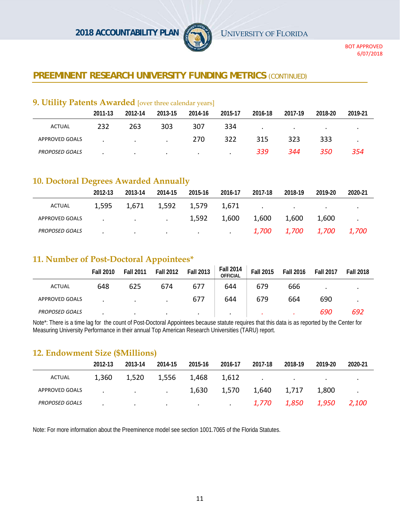

# **PREEMINENT RESEARCH UNIVERSITY FUNDING METRICS (CONTINUED)**

#### **9. Utility Patents Awarded** [over three calendar years]

|                       | 2011-13 | 2012-14                  | 2013-15 | 2014-16   | 2015-17 | 2016-18 | 2017-19 | 2018-20 | 2019-21 |
|-----------------------|---------|--------------------------|---------|-----------|---------|---------|---------|---------|---------|
| <b>ACTUAL</b>         | 232     | 263                      | 303     | 307       | 334     | $\cdot$ | $\cdot$ |         |         |
| APPROVED GOALS        |         | <b>Contract Contract</b> | $\cdot$ | 270       | 322     | 315     | 323     | 333     |         |
| <b>PROPOSED GOALS</b> |         | $\bullet$                | $\cdot$ | $\bullet$ | $\cdot$ | 339     | 344     | 350     | 354     |

#### **10. Doctoral Degrees Awarded Annually**

|                       | 2012-13 | 2013-14                                         | 2014-15     | 2015-16                                      | 2016-17 | 2017-18 | 2018-19                                             | 2019-20 | 2020-21 |
|-----------------------|---------|-------------------------------------------------|-------------|----------------------------------------------|---------|---------|-----------------------------------------------------|---------|---------|
| ACTUAL                | 1,595   | 1,671                                           | 1,592 1,579 |                                              | 1.671   |         | the contract of the contract of the contract of the |         |         |
| APPROVED GOALS        |         | the contract of the contract of the contract of |             | 1,592                                        | 1,600   | 1,600   | 1,600                                               | 1.600   |         |
| <b>PROPOSED GOALS</b> |         | $\cdot$                                         |             | the company of the company of the company of |         |         |                                                     |         |         |

#### **11. Number of Post-Doctoral Appointees\***

|                       | <b>Fall 2010</b> | <b>Fall 2011</b> | <b>Fall 2012</b> | <b>Fall 2013</b> | <b>Fall 2014</b><br><b>OFFICIAL</b> | <b>Fall 2015</b> | <b>Fall 2016</b> | <b>Fall 2017</b> | <b>Fall 2018</b> |
|-----------------------|------------------|------------------|------------------|------------------|-------------------------------------|------------------|------------------|------------------|------------------|
| <b>ACTUAL</b>         | 648              | 625              | 674              | 677              | 644                                 | 679              | 666              | $\bullet$        |                  |
| <b>APPROVED GOALS</b> |                  | $\bullet$        |                  | 677              | 644                                 | 679              | 664              | 690              |                  |
| <b>PROPOSED GOALS</b> |                  | $\bullet$        | $\bullet$        | $\bullet$        | $\cdot$                             | $\bullet$        | ۰                | 690              | 692              |

Note\*: There is a time lag for the count of Post-Doctoral Appointees because statute requires that this data is as reported by the Center for Measuring University Performance in their annual Top American Research Universities (TARU) report.

#### **12. Endowment Size (\$Millions)**

|                       | 2012-13 | 2013-14                                         | 2014-15   | 2015-16         | 2016-17 | 2017-18 | 2018-19 | 2019-20 | 2020-21 |
|-----------------------|---------|-------------------------------------------------|-----------|-----------------|---------|---------|---------|---------|---------|
| ACTUAL                | 1,360   | 1,520                                           | 1,556     | 1,468           | 1,612   | $\cdot$ | $\cdot$ |         |         |
| APPROVED GOALS        |         | the contract of the contract of the contract of |           | 1,630           | 1,570   | 1,640   | 1,717   | 1,800   |         |
| <b>PROPOSED GOALS</b> |         | $\cdot$                                         | $\bullet$ | $\cdot$ $\cdot$ |         | 1,770   | 1,850   | 1,950   | 2,100   |

Note: For more information about the Preeminence model see section 1001.7065 of the Florida Statutes.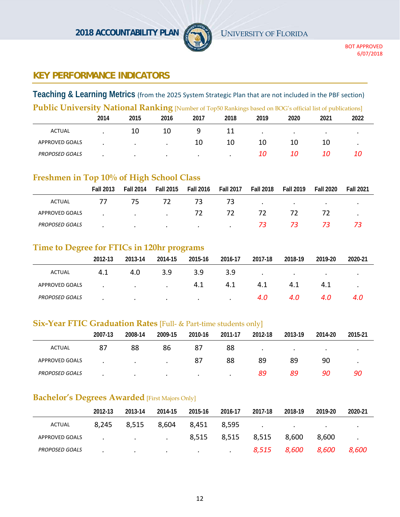

# **KEY PERFORMANCE INDICATORS**

**Teaching & Learning Metrics** (from the 2025 System Strategic Plan that are not included in the PBF section)

| <b>Public University National Ranking</b> [Number of Top50 Rankings based on BOG's official list of publications] |      |         |           |         |      |           |      |      |      |  |  |
|-------------------------------------------------------------------------------------------------------------------|------|---------|-----------|---------|------|-----------|------|------|------|--|--|
|                                                                                                                   | 2014 | 2015    | 2016      | 2017    | 2018 | 2019      | 2020 | 2021 | 2022 |  |  |
| ACTUAL                                                                                                            |      | 10      | 10        |         | 11   | $\bullet$ |      |      |      |  |  |
| APPROVED GOALS                                                                                                    |      | $\cdot$ |           | 10      | 10   | 10        | 10   | 10   |      |  |  |
| <b>PROPOSED GOALS</b>                                                                                             |      | $\cdot$ | $\bullet$ | $\cdot$ |      | 10        | 10   | 10   | 10   |  |  |

# **Freshmen in Top 10% of High School Class**

|                       | <b>Fall 2013</b> | <b>Fall 2014</b> | <b>Fall 2015</b> | <b>Fall 2016</b> | <b>Fall 2017</b> | <b>Fall 2018</b> | <b>Fall 2019</b> | <b>Fall 2020</b> | <b>Fall 2021</b> |
|-----------------------|------------------|------------------|------------------|------------------|------------------|------------------|------------------|------------------|------------------|
| ACTUAL                | 77               | 75               | 72               | 73               | 73               | $\cdot$          | $\bullet$        | $\bullet$        |                  |
| APPROVED GOALS        |                  | $\sim$ $\sim$    | $\cdot$          | 72               | 72               | 72               | 72               |                  |                  |
| <b>PROPOSED GOALS</b> |                  | $\cdot$          | $\cdot$          | $\bullet$        |                  | 73               | 73.              | 73               |                  |

#### **Time to Degree for FTICs in 120hr programs**

| $\overline{\phantom{a}}$ |           |                                   |         |         |         |         |         |         |           |
|--------------------------|-----------|-----------------------------------|---------|---------|---------|---------|---------|---------|-----------|
|                          | 2012-13   | 2013-14                           | 2014-15 | 2015-16 | 2016-17 | 2017-18 | 2018-19 | 2019-20 | 2020-21   |
| ACTUAL                   | 4.1       | 4.0                               | 3.9     | 3.9     | 3.9     | $\cdot$ | $\cdot$ | $\cdot$ | $\bullet$ |
| APPROVED GOALS           |           | <b>Contract Contract Contract</b> | $\sim$  | 4.1     | 4.1     | 4.1     | 4.1     | 4.1     | ٠         |
| <b>PROPOSED GOALS</b>    | $\bullet$ | $\cdot$                           | $\cdot$ | $\sim$  | $\cdot$ | 4.0     | 4.0     | 4.0     | 4.0       |

#### **Six-Year FTIC Graduation Rates** [Full- & Part-time students only]

|                       | 2007-13 | 2008-14 | 2009-15   | 2010-16 | 2011-17 | 2012-18   | 2013-19   | 2014-20   | 2015-21 |
|-----------------------|---------|---------|-----------|---------|---------|-----------|-----------|-----------|---------|
| <b>ACTUAL</b>         | 87      | 88      | 86        | 87      | 88      | $\bullet$ | $\bullet$ | $\bullet$ | $\cdot$ |
| APPROVED GOALS        | ٠       | $\cdot$ | $\cdot$   | 87      | 88      | 89        | 89        | 90        |         |
| <b>PROPOSED GOALS</b> |         | $\cdot$ | $\bullet$ | $\cdot$ |         | 89        | 89        | 90        | 90      |

# **Bachelor's Degrees Awarded** [First Majors Only]

|                       | 2012-13 | 2013-14                                      | 2014-15         | 2015-16                                                                                                         | 2016-17           | 2017-18       | 2018-19                             | 2019-20       | 2020-21   |
|-----------------------|---------|----------------------------------------------|-----------------|-----------------------------------------------------------------------------------------------------------------|-------------------|---------------|-------------------------------------|---------------|-----------|
| <b>ACTUAL</b>         | 8,245   | 8,515                                        | 8,604           | 8,451                                                                                                           | 8.595             | $\sim$ $\sim$ | the contract of the contract of the | $\sim$ $\sim$ | $\bullet$ |
| APPROVED GOALS        |         | the control of the control of the control of |                 |                                                                                                                 | 8,515 8,515 8,515 |               | 8.600                               | 8.600         |           |
| <b>PROPOSED GOALS</b> |         | $\cdot$                                      | $\cdot$ $\cdot$ | the contract of the contract of the contract of the contract of the contract of the contract of the contract of |                   | 8,515         | 8,600                               | 8,600         | 8,600     |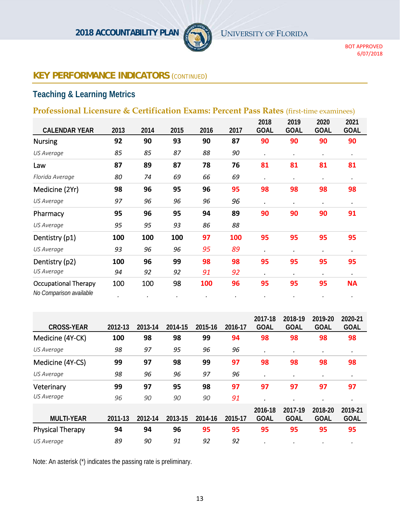

# **Teaching & Learning Metrics**

# **Professional Licensure & Certification Exams: Percent Pass Rates** (first-time examinees)

|                                                        |      |      |                 |            |      | 2018        | 2019        | 2020        | 2021        |
|--------------------------------------------------------|------|------|-----------------|------------|------|-------------|-------------|-------------|-------------|
| <b>CALENDAR YEAR</b>                                   | 2013 | 2014 | 2015            | 2016       | 2017 | <b>GOAL</b> | <b>GOAL</b> | <b>GOAL</b> | <b>GOAL</b> |
| <b>Nursing</b>                                         | 92   | 90   | 93              | 90         | 87   | 90          | 90          | 90          | 90          |
| <b>US Average</b>                                      | 85   | 85   | 87              | 88         | 90   | $\bullet$   | $\bullet$   |             | $\bullet$   |
| Law                                                    | 87   | 89   | 87              | 78         | 76   | 81          | 81          | 81          | 81          |
| Florida Average                                        | 80   | 74   | 69              | 66         | 69   |             | $\bullet$   | $\bullet$   | $\bullet$   |
| Medicine (2Yr)                                         | 98   | 96   | 95              | 96         | 95   | 98          | 98          | 98          | 98          |
| US Average                                             | 97   | 96   | 96              | 96         | 96   | $\cdot$     | ٠           | $\bullet$   | $\bullet$   |
| Pharmacy                                               | 95   | 96   | 95              | 94         | 89   | 90          | 90          | 90          | 91          |
| US Average                                             | 95   | 95   | 93              | 86         | 88   |             |             |             |             |
| Dentistry (p1)                                         | 100  | 100  | 100             | 97         | 100  | 95          | 95          | 95          | 95          |
| <b>US Average</b>                                      | 93   | 96   | 96              | 95         | 89   | $\bullet$   | $\bullet$   |             | $\bullet$   |
| Dentistry (p2)                                         | 100  | 96   | 99              | 98         | 98   | 95          | 95          | 95          | 95          |
| <b>US Average</b>                                      | 94   | 92   | 92              | 91         | 92   | $\bullet$   | ٠           | ٠           | $\bullet$   |
| <b>Occupational Therapy</b><br>No Comparison available | 100  | 100  | 98<br>$\bullet$ | <b>100</b> | 96   | 95          | 95          | 95          | <b>NA</b>   |

| <b>CROSS-YEAR</b>       | 2012-13 | 2013-14 | 2014-15 | 2015-16 | 2016-17 | 2017-18<br><b>GOAL</b> | 2018-19<br><b>GOAL</b> | 2019-20<br><b>GOAL</b> | 2020-21<br><b>GOAL</b> |
|-------------------------|---------|---------|---------|---------|---------|------------------------|------------------------|------------------------|------------------------|
| Medicine (4Y-CK)        | 100     | 98      | 98      | 99      | 94      | 98                     | 98                     | 98                     | 98                     |
| US Average              | 98      | 97      | 95      | 96      | 96      | $\cdot$                | ٠                      | ٠                      | $\bullet$              |
| Medicine (4Y-CS)        | 99      | 97      | 98      | 99      | 97      | 98                     | 98                     | 98                     | 98                     |
| US Average              | 98      | 96      | 96      | 97      | 96      | ٠                      | $\bullet$              | ٠                      | $\bullet$              |
| Veterinary              | 99      | 97      | 95      | 98      | 97      | 97                     | 97                     | 97                     | 97                     |
| US Average              | 96      | 90      | 90      | 90      | 91      |                        | ٠                      |                        | $\bullet$              |
| <b>MULTI-YEAR</b>       | 2011-13 | 2012-14 | 2013-15 | 2014-16 | 2015-17 | 2016-18<br><b>GOAL</b> | 2017-19<br><b>GOAL</b> | 2018-20<br><b>GOAL</b> | 2019-21<br><b>GOAL</b> |
| <b>Physical Therapy</b> | 94      | 94      | 96      | 95      | 95      | 95                     | 95                     | 95                     | 95                     |
| <b>US Average</b>       | 89      | 90      | 91      | 92      | 92      |                        |                        |                        | $\bullet$              |

Note: An asterisk (\*) indicates the passing rate is preliminary.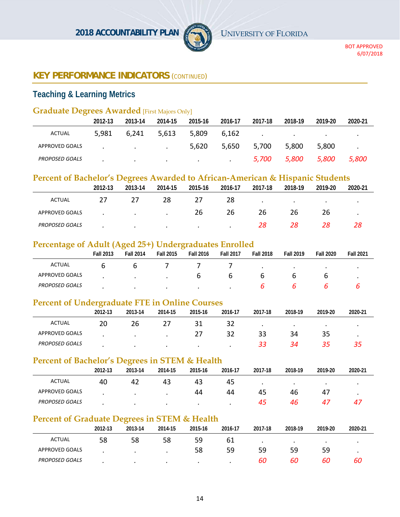

# **Teaching & Learning Metrics**

#### **Graduate Degrees Awarded** [First Majors Only]

|                       | 2012-13 | 2013-14                                    | 2014-15 | 2015-16                                               | 2016-17 | 2017-18                           | 2018-19 | 2019-20                           | 2020-21 |
|-----------------------|---------|--------------------------------------------|---------|-------------------------------------------------------|---------|-----------------------------------|---------|-----------------------------------|---------|
| <b>ACTUAL</b>         | 5,981   | 6,241                                      | 5,613   | 5,809                                                 | 6.162   | the company of the company of the |         | <b>Contract Contract Contract</b> |         |
| APPROVED GOALS        |         | and the state of the state of the state of |         | 5,620                                                 | 5,650   | 5,700                             | 5,800   | 5,800                             | $\sim$  |
| <b>PROPOSED GOALS</b> |         | $\cdot$                                    |         | the control of the control of the control of the con- |         | 5,700                             | 5,800   | 5,800                             | 5,800   |

# **Percent of Bachelor's Degrees Awarded to African-American & Hispanic Students**

|                       | 2012-13 | 2013-14   | 2014-15   | 2015-16 | 2016-17 | 2017-18 | 2018-19   | 2019-20   | 2020-21 |
|-----------------------|---------|-----------|-----------|---------|---------|---------|-----------|-----------|---------|
| ACTUAL                | 27      | 27        | 28        |         | 28      | $\cdot$ | $\bullet$ | $\bullet$ | $\cdot$ |
| APPROVED GOALS        |         | $\cdot$   | $\cdot$   | 26      | 26      | 26      | 26        | 26        | ٠       |
| <b>PROPOSED GOALS</b> |         | $\bullet$ | $\bullet$ | $\cdot$ | $\cdot$ | 28      | 28        | 28        | 28      |

#### **Percentage of Adult (Aged 25+) Undergraduates Enrolled**

| ~                     | <b>Fall 2013</b> | ຼ<br><b>Fall 2014</b> | <b>Fall 2015</b> | <b>Fall 2016</b> | <b>Fall 2017</b> | <b>Fall 2018</b> | <b>Fall 2019</b> | <b>Fall 2020</b> | <b>Fall 2021</b> |
|-----------------------|------------------|-----------------------|------------------|------------------|------------------|------------------|------------------|------------------|------------------|
| ACTUAL                | O                | O                     |                  |                  |                  |                  |                  |                  |                  |
| APPROVED GOALS        |                  |                       |                  | O                | b                |                  |                  |                  |                  |
| <b>PROPOSED GOALS</b> |                  |                       |                  |                  |                  |                  |                  |                  |                  |

#### **Percent of Undergraduate FTE in Online Courses**

|                       | $\sim$<br>2012-13 | 2013-14   | 2014-15 | 2015-16 | 2016-17 | 2017-18 | 2018-19 | 2019-20 | 2020 21 |
|-----------------------|-------------------|-----------|---------|---------|---------|---------|---------|---------|---------|
| ACTUAL                | 20                | 26        |         |         | 32      |         |         |         |         |
| APPROVED GOALS        |                   | $\bullet$ | $\cdot$ | 27      |         | 33      | 34      | 35      |         |
| <b>PROPOSED GOALS</b> |                   | $\bullet$ |         |         |         | 33      | 34      | 35      | 35.     |

#### **Percent of Bachelor's Degrees in STEM & Health**

|                       | 2012-13 | 2013-14   | 2014-15   | 2015-16   | 2016-17 | 2017-18   | 2018-19 | 2019-20 | 2020 21 |
|-----------------------|---------|-----------|-----------|-----------|---------|-----------|---------|---------|---------|
| ACTUAL                | 40      | 42        | 43        | 43        | -45     | $\bullet$ |         |         |         |
| APPROVED GOALS        |         | $\bullet$ | $\bullet$ | 44        | 44      | 45        | 46      | -47     |         |
| <b>PROPOSED GOALS</b> |         |           |           | $\bullet$ |         | 45        | 46      | 47      | 4/      |

# **Percent of Graduate Degrees in STEM & Health**

|                       | 2012-13 | 2013-14 | 2014-15 | 2015-16   | 2016-17 | 2017-18   | 2018-19 | 2019-20   | 2020 21 |
|-----------------------|---------|---------|---------|-----------|---------|-----------|---------|-----------|---------|
| <b>ACTUAL</b>         | 58      | 58      | 58      | 59        | 61      | $\bullet$ |         | $\bullet$ |         |
| APPROVED GOALS        |         |         |         | 58        | 59      | 59        | 59      | 59        |         |
| <b>PROPOSED GOALS</b> |         | $\cdot$ | $\cdot$ | $\bullet$ |         | 60        | 60      | 60        | 60      |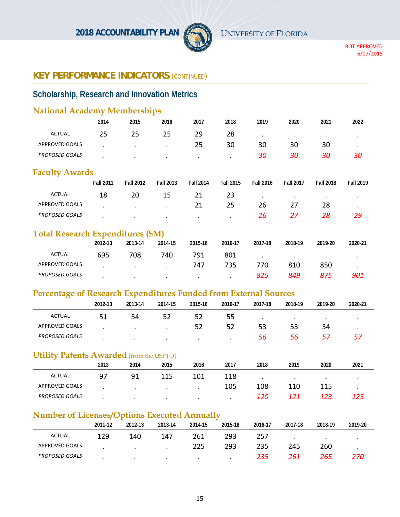

# **Scholarship, Research and Innovation Metrics**

# **National Academy Memberships**

|                       | 2014 | 2015      | 2016      | 2017      | 2018    | 2019 | 2020 | 2021 | 2022      |
|-----------------------|------|-----------|-----------|-----------|---------|------|------|------|-----------|
| <b>ACTUAL</b>         | 25   | 25        | 25        | 29        | 28      |      | ٠    |      |           |
| <b>APPROVED GOALS</b> |      |           | $\bullet$ | 25        | 30      | 30   | 30   | 30   | $\bullet$ |
| <b>PROPOSED GOALS</b> |      | $\bullet$ | $\bullet$ | $\bullet$ | $\cdot$ | 30   | 30   | 30   | 30        |

#### **Faculty Awards**

|                       | <b>Fall 2011</b> | <b>Fall 2012</b> | <b>Fall 2013</b> | <b>Fall 2014</b> | <b>Fall 2015</b> | <b>Fall 2016</b> | <b>Fall 2017</b> | <b>Fall 2018</b> | <b>Fall 2019</b> |
|-----------------------|------------------|------------------|------------------|------------------|------------------|------------------|------------------|------------------|------------------|
| ACTUAL                | 18               | 20               | 15               |                  | 23               |                  |                  |                  |                  |
| APPROVED GOALS        |                  | $\bullet$        |                  |                  | 25               | 26               |                  |                  |                  |
| <b>PROPOSED GOALS</b> |                  |                  |                  |                  |                  | 26               |                  |                  |                  |

#### **Total Research Expenditures (\$M)**

|                       | 2012-13 | 2013-14   | 2014-15   | 2015-16   | 2016-17   | 2017-18 | 2018-19 | 2019-20 | 2020 21 |
|-----------------------|---------|-----------|-----------|-----------|-----------|---------|---------|---------|---------|
| <b>ACTUAL</b>         | 695     | 708       | 740       | 791       | 801       |         |         |         |         |
| APPROVED GOALS        |         | $\bullet$ | $\bullet$ | 747       | 735       | 770.    | 810     | 850     |         |
| <b>PROPOSED GOALS</b> |         | $\bullet$ | $\bullet$ | $\bullet$ | $\bullet$ | 825     | 849     | 875     | 901     |

#### **Percentage of Research Expenditures Funded from External Sources**

|                       | 2012-13 | 2013-14   | 2014-15   | 2015-16   | 2016-17 | 2017-18   | 2018-19   | 2019-20 | 2020-21 |
|-----------------------|---------|-----------|-----------|-----------|---------|-----------|-----------|---------|---------|
| <b>ACTUAL</b>         |         | 54        | 52        | 52        | 55.     | $\bullet$ | $\bullet$ | ٠       |         |
| APPROVED GOALS        |         | $\bullet$ | $\cdot$   | 52        | 52      | 53        |           | 54      |         |
| <b>PROPOSED GOALS</b> |         | $\cdot$   | $\bullet$ | $\bullet$ | $\cdot$ | 56        | 56.       | 57      |         |

#### **Utility Patents Awarded** [from the USPTO]

|                       | 2013 | 2014 | 2015      | 2016 | 2017 | 2018 | 2019 | 2020 | 2021 |
|-----------------------|------|------|-----------|------|------|------|------|------|------|
| ACTUAL                | 97   | 91   | 115       | 101  | 118  |      |      |      |      |
| APPROVED GOALS        |      |      | $\bullet$ |      | 105  | 108  | 110  | 115  |      |
| <b>PROPOSED GOALS</b> |      |      |           |      |      | 120  | 171  | 123  | 125  |

# **Number of Licenses/Options Executed Annually**

|                       | 2011-12 | 2012-13   | 2013-14              | 2014-15 | 2015-16 | 2016-17 | 2017-18 | 2018-19   | 2019-20 |
|-----------------------|---------|-----------|----------------------|---------|---------|---------|---------|-----------|---------|
| ACTUAL                | 129     | 140       | 147                  | 261     | 293     | 257     | $\cdot$ | $\bullet$ |         |
| APPROVED GOALS        |         | $\cdot$   | $\ddot{\phantom{a}}$ | 225     | 293     | 235     | 245     | 260       |         |
| <b>PROPOSED GOALS</b> |         | $\bullet$ | $\cdot$              | $\cdot$ | $\cdot$ | 235     | 261     | 265       | 270     |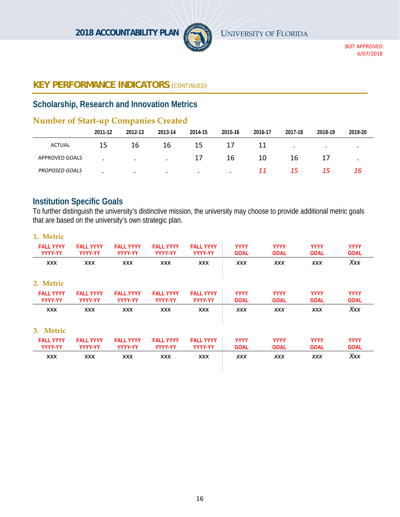

# **Scholarship, Research and Innovation Metrics**

# **Number of Start-up Companies Created**

|                       | --<br>2011-12 | __<br>2012-13 | 2013-14   | 2014-15   | 2015-16 | 2016-17 | 2017-18 | 2018-19   | 2019-20              |
|-----------------------|---------------|---------------|-----------|-----------|---------|---------|---------|-----------|----------------------|
| ACTUAL                | 15            | 16            | 16        | 15        | 17      | 11      |         | $\bullet$ | $\ddot{\phantom{1}}$ |
| <b>APPROVED GOALS</b> |               | $\cdot$       | $\cdot$   | 17        | 16      | 10      | 16      |           | $\bullet$            |
| <b>PROPOSED GOALS</b> |               | $\bullet$     | $\bullet$ | $\bullet$ | $\cdot$ | 11      | 15      | 15        | 16                   |

# **Institution Specific Goals**

To further distinguish the university's distinctive mission, the university may choose to provide additional metric goals that are based on the university's own strategic plan.

| <b>FALL YYYY</b><br><b>YYYY-YY</b> | <b>FALL YYYY</b><br><b>YYYY-YY</b> | <b>FALL YYYY</b><br>YYYY-YY | <b>FALL YYYY</b><br>YYYY-YY | <b>YYYY</b><br><b>GOAL</b> | <b>YYYY</b><br><b>GOAL</b> | <b>YYYY</b><br><b>GOAL</b> | <b>YYYY</b><br><b>GOAL</b> |
|------------------------------------|------------------------------------|-----------------------------|-----------------------------|----------------------------|----------------------------|----------------------------|----------------------------|
| <b>XXX</b>                         | <b>XXX</b>                         | <b>XXX</b>                  | <b>XXX</b>                  | <b>XXX</b>                 | <b>XXX</b>                 | <b>XXX</b>                 | Xxx                        |
|                                    |                                    |                             |                             |                            |                            |                            |                            |
| <b>FALL YYYY</b>                   | <b>FALL YYYY</b>                   | <b>FALL YYYY</b>            | <b>FALL YYYY</b>            | <b>YYYY</b>                | <b>YYYY</b>                | <b>YYYY</b>                | <b>YYYY</b>                |
| <b>YYYY-YY</b>                     | YYYY-YY                            | YYYY-YY                     | YYYY-YY                     | <b>GOAL</b>                | <b>GOAL</b>                | <b>GOAL</b>                | <b>GOAL</b>                |
| <b>XXX</b>                         | <b>XXX</b>                         | <b>XXX</b>                  | <b>XXX</b>                  | <b>XXX</b>                 | <b>XXX</b>                 | <b>XXX</b>                 | Xxx                        |
|                                    |                                    |                             |                             |                            |                            |                            |                            |
| <b>FALL YYYY</b>                   | <b>FALL YYYY</b>                   | <b>FALL YYYY</b>            | <b>FALL YYYY</b>            | <b>YYYY</b>                | <b>YYYY</b>                | <b>YYYY</b>                | <b>YYYY</b>                |
| YYYY-YY                            | YYYY-YY                            | YYYY-YY                     | YYYY-YY                     | <b>GOAL</b>                | <b>GOAL</b>                | <b>GOAL</b>                | <b>GOAL</b>                |
| <b>XXX</b>                         | <b>XXX</b>                         | <b>XXX</b>                  | <b>XXX</b>                  | <b>XXX</b>                 | <b>XXX</b>                 | <b>XXX</b>                 | Xxx                        |
|                                    |                                    |                             |                             |                            |                            |                            |                            |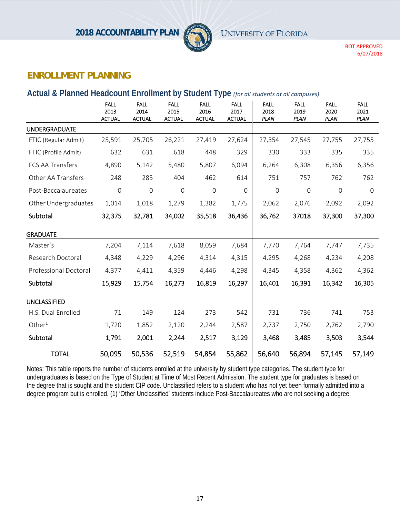

# **ENROLLMENT PLANNING**

#### **Actual & Planned Headcount Enrollment by Student Type** *(for all students at all campuses)*

|                       | <b>FALL</b><br>2013<br><b>ACTUAL</b> | <b>FALL</b><br>2014<br><b>ACTUAL</b> | <b>FALL</b><br>2015<br><b>ACTUAL</b> | <b>FALL</b><br>2016<br><b>ACTUAL</b> | <b>FALL</b><br>2017<br><b>ACTUAL</b> | <b>FALL</b><br>2018<br><b>PLAN</b> | <b>FALL</b><br>2019<br><b>PLAN</b> | <b>FALL</b><br>2020<br><b>PLAN</b> | <b>FALL</b><br>2021<br><b>PLAN</b> |
|-----------------------|--------------------------------------|--------------------------------------|--------------------------------------|--------------------------------------|--------------------------------------|------------------------------------|------------------------------------|------------------------------------|------------------------------------|
| <b>UNDERGRADUATE</b>  |                                      |                                      |                                      |                                      |                                      |                                    |                                    |                                    |                                    |
| FTIC (Regular Admit)  | 25,591                               | 25,705                               | 26,221                               | 27,419                               | 27,624                               | 27,354                             | 27,545                             | 27,755                             | 27,755                             |
| FTIC (Profile Admit)  | 632                                  | 631                                  | 618                                  | 448                                  | 329                                  | 330                                | 333                                | 335                                | 335                                |
| FCS AA Transfers      | 4,890                                | 5,142                                | 5,480                                | 5,807                                | 6,094                                | 6,264                              | 6,308                              | 6,356                              | 6,356                              |
| Other AA Transfers    | 248                                  | 285                                  | 404                                  | 462                                  | 614                                  | 751                                | 757                                | 762                                | 762                                |
| Post-Baccalaureates   | $\mathsf{O}\xspace$                  | $\mathbf 0$                          | $\mathbf 0$                          | $\mathbf 0$                          | $\mathbf 0$                          | $\mathsf{O}$                       | $\mathsf{O}\xspace$                | $\mathbf 0$                        | $\mathbf 0$                        |
| Other Undergraduates  | 1,014                                | 1,018                                | 1,279                                | 1,382                                | 1,775                                | 2,062                              | 2,076                              | 2,092                              | 2,092                              |
| Subtotal              | 32,375                               | 32,781                               | 34,002                               | 35,518                               | 36,436                               | 36,762                             | 37018                              | 37,300                             | 37,300                             |
| <b>GRADUATE</b>       |                                      |                                      |                                      |                                      |                                      |                                    |                                    |                                    |                                    |
| Master's              | 7,204                                | 7,114                                | 7,618                                | 8,059                                | 7,684                                | 7,770                              | 7,764                              | 7,747                              | 7,735                              |
| Research Doctoral     | 4,348                                | 4,229                                | 4,296                                | 4,314                                | 4,315                                | 4,295                              | 4,268                              | 4,234                              | 4,208                              |
| Professional Doctoral | 4,377                                | 4,411                                | 4,359                                | 4,446                                | 4,298                                | 4,345                              | 4,358                              | 4,362                              | 4,362                              |
| Subtotal              | 15,929                               | 15,754                               | 16,273                               | 16,819                               | 16,297                               | 16,401                             | 16,391                             | 16,342                             | 16,305                             |
| <b>UNCLASSIFIED</b>   |                                      |                                      |                                      |                                      |                                      |                                    |                                    |                                    |                                    |
| H.S. Dual Enrolled    | 71                                   | 149                                  | 124                                  | 273                                  | 542                                  | 731                                | 736                                | 741                                | 753                                |
| Other $1$             | 1,720                                | 1,852                                | 2,120                                | 2,244                                | 2,587                                | 2,737                              | 2,750                              | 2,762                              | 2,790                              |
| Subtotal              | 1,791                                | 2,001                                | 2,244                                | 2,517                                | 3,129                                | 3,468                              | 3,485                              | 3,503                              | 3,544                              |
| <b>TOTAL</b>          | 50,095                               | 50,536                               | 52,519                               | 54,854                               | 55,862                               | 56,640                             | 56,894                             | 57,145                             | 57,149                             |

Notes: This table reports the number of students enrolled at the university by student type categories. The student type for undergraduates is based on the Type of Student at Time of Most Recent Admission. The student type for graduates is based on the degree that is sought and the student CIP code. Unclassified refers to a student who has not yet been formally admitted into a degree program but is enrolled. (1) 'Other Unclassified' students include Post-Baccalaureates who are not seeking a degree.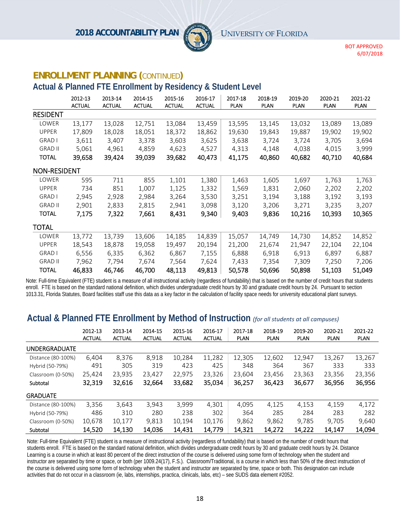

#### **ENROLLMENT PLANNING (**CONTINUED**)**

# **Actual & Planned FTE Enrollment by Residency & Student Level**

|                     | 2012-13<br><b>ACTUAL</b> | 2013-14<br><b>ACTUAL</b> | 2014-15<br><b>ACTUAL</b> | 2015-16<br><b>ACTUAL</b> | 2016-17<br><b>ACTUAL</b> | 2017-18<br><b>PLAN</b> | 2018-19<br><b>PLAN</b> | 2019-20<br><b>PLAN</b> | 2020-21<br><b>PLAN</b> | 2021-22<br><b>PLAN</b> |
|---------------------|--------------------------|--------------------------|--------------------------|--------------------------|--------------------------|------------------------|------------------------|------------------------|------------------------|------------------------|
| <b>RESIDENT</b>     |                          |                          |                          |                          |                          |                        |                        |                        |                        |                        |
| LOWER               | 13,177                   | 13,028                   | 12,751                   | 13,084                   | 13,459                   | 13,595                 | 13,145                 | 13,032                 | 13,089                 | 13,089                 |
| <b>UPPER</b>        | 17,809                   | 18,028                   | 18,051                   | 18,372                   | 18,862                   | 19,630                 | 19,843                 | 19,887                 | 19,902                 | 19,902                 |
| <b>GRAD I</b>       | 3,611                    | 3,407                    | 3,378                    | 3,603                    | 3,625                    | 3,638                  | 3,724                  | 3,724                  | 3,705                  | 3,694                  |
| <b>GRAD II</b>      | 5,061                    | 4,961                    | 4,859                    | 4,623                    | 4,527                    | 4,313                  | 4,148                  | 4,038                  | 4,015                  | 3,999                  |
| <b>TOTAL</b>        | 39,658                   | 39,424                   | 39,039                   | 39,682                   | 40,473                   | 41,175                 | 40,860                 | 40,682                 | 40,710                 | 40,684                 |
| <b>NON-RESIDENT</b> |                          |                          |                          |                          |                          |                        |                        |                        |                        |                        |
| LOWER               | 595                      | 711                      | 855                      | 1,101                    | 1,380                    | 1,463                  | 1,605                  | 1,697                  | 1,763                  | 1,763                  |
| <b>UPPER</b>        | 734                      | 851                      | 1,007                    | 1,125                    | 1,332                    | 1,569                  | 1,831                  | 2,060                  | 2,202                  | 2,202                  |
| <b>GRAD I</b>       | 2,945                    | 2,928                    | 2,984                    | 3,264                    | 3,530                    | 3,251                  | 3,194                  | 3,188                  | 3,192                  | 3,193                  |
| <b>GRAD II</b>      | 2,901                    | 2,833                    | 2,815                    | 2,941                    | 3,098                    | 3,120                  | 3,206                  | 3,271                  | 3,235                  | 3,207                  |
| <b>TOTAL</b>        | 7,175                    | 7,322                    | 7,661                    | 8,431                    | 9,340                    | 9,403                  | 9,836                  | 10,216                 | 10,393                 | 10,365                 |
| TOTAL               |                          |                          |                          |                          |                          |                        |                        |                        |                        |                        |
| LOWER               | 13,772                   | 13,739                   | 13,606                   | 14,185                   | 14,839                   | 15,057                 | 14,749                 | 14,730                 | 14,852                 | 14,852                 |
| <b>UPPER</b>        | 18,543                   | 18,878                   | 19,058                   | 19,497                   | 20,194                   | 21,200                 | 21,674                 | 21,947                 | 22,104                 | 22,104                 |
| <b>GRAD I</b>       | 6,556                    | 6,335                    | 6,362                    | 6,867                    | 7,155                    | 6,888                  | 6,918                  | 6,913                  | 6,897                  | 6,887                  |
| <b>GRAD II</b>      | 7,962                    | 7,794                    | 7,674                    | 7,564                    | 7,624                    | 7,433                  | 7,354                  | 7,309                  | 7,250                  | 7,206                  |
| <b>TOTAL</b>        | 46,833                   | 46,746                   | 46,700                   | 48,113                   | 49,813                   | 50,578                 | 50,696                 | 50,898                 | 51,103                 | 51,049                 |

Note: Full-time Equivalent (FTE) student is a measure of all instructional activity (regardless of fundability) that is based on the number of credit hours that students enroll. FTE is based on the standard national definition, which divides undergraduate credit hours by 30 and graduate credit hours by 24. Pursuant to section 1013.31, Florida Statutes, Board facilities staff use this data as a key factor in the calculation of facility space needs for university educational plant surveys.

# **Actual & Planned FTE Enrollment by Method of Instruction** *(for all students at all campuses)*

|                      | 2012-13<br><b>ACTUAL</b> | 2013-14<br><b>ACTUAL</b> | 2014-15<br><b>ACTUAL</b> | 2015-16<br><b>ACTUAL</b> | 2016-17<br><b>ACTUAL</b> | 2017-18<br><b>PLAN</b> | 2018-19<br><b>PLAN</b> | 2019-20<br><b>PLAN</b> | 2020-21<br><b>PLAN</b> | 2021-22<br><b>PLAN</b> |
|----------------------|--------------------------|--------------------------|--------------------------|--------------------------|--------------------------|------------------------|------------------------|------------------------|------------------------|------------------------|
| <b>UNDERGRADUATE</b> |                          |                          |                          |                          |                          |                        |                        |                        |                        |                        |
| Distance (80-100%)   | 6.404                    | 8,376                    | 8,918                    | 10,284                   | 11,282                   | 12,305                 | 12,602                 | 12,947                 | 13,267                 | 13,267                 |
| Hybrid (50-79%)      | 491                      | 305                      | 319                      | 423                      | 425                      | 348                    | 364                    | 367                    | 333                    | 333                    |
| Classroom (0-50%)    | 25.424                   | 23.935                   | 23,427                   | 22.975                   | 23.326                   | 23.604                 | 23.456                 | 23.363                 | 23.356                 | 23,356                 |
| Subtotal             | 32,319                   | 32,616                   | 32,664                   | 33,682                   | 35,034                   | 36,257                 | 36,423                 | 36,677                 | 36,956                 | 36,956                 |
| <b>GRADUATE</b>      |                          |                          |                          |                          |                          |                        |                        |                        |                        |                        |
| Distance (80-100%)   | 3,356                    | 3,643                    | 3,943                    | 3,999                    | 4,301                    | 4.095                  | 4,125                  | 4,153                  | 4,159                  | 4,172                  |
| Hybrid (50-79%)      | 486                      | 310                      | 280                      | 238                      | 302                      | 364                    | 285                    | 284                    | 283                    | 282                    |
| Classroom (0-50%)    | 10,678                   | 10,177                   | 9,813                    | 10,194                   | 10,176                   | 9.862                  | 9.862                  | 9,785                  | 9,705                  | 9,640                  |
| Subtotal             | 14,520                   | 14,130                   | 14,036                   | 14,431                   | 14,779                   | 14,321                 | 14,272                 | 14,222                 | 14,147                 | 14,094                 |

Note: Full-time Equivalent (FTE) student is a measure of instructional activity (regardless of fundability) that is based on the number of credit hours that students enroll. FTE is based on the standard national definition, which divides undergraduate credit hours by 30 and graduate credit hours by 24. Distance Learning is a course in which at least 80 percent of the direct instruction of the course is delivered using some form of technology when the student and instructor are separated by time or space, or both (per 1009.24(17), F.S.). Classroom/Traditional, is a course in which less than 50% of the direct instruction of the course is delivered using some form of technology when the student and instructor are separated by time, space or both. This designation can include activities that do not occur in a classroom (ie, labs, internships, practica, clinicals, labs, etc) – see SUDS data element #2052.